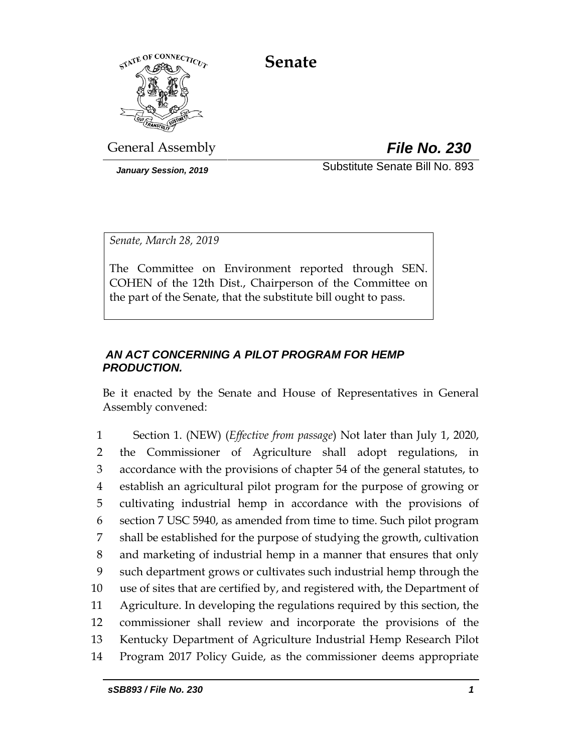**Senate**



General Assembly *File No. 230*

*January Session, 2019* Substitute Senate Bill No. 893

*Senate, March 28, 2019*

The Committee on Environment reported through SEN. COHEN of the 12th Dist., Chairperson of the Committee on the part of the Senate, that the substitute bill ought to pass.

# *AN ACT CONCERNING A PILOT PROGRAM FOR HEMP PRODUCTION.*

Be it enacted by the Senate and House of Representatives in General Assembly convened:

 Section 1. (NEW) (*Effective from passage*) Not later than July 1, 2020, the Commissioner of Agriculture shall adopt regulations, in accordance with the provisions of chapter 54 of the general statutes, to establish an agricultural pilot program for the purpose of growing or cultivating industrial hemp in accordance with the provisions of section 7 USC 5940, as amended from time to time. Such pilot program shall be established for the purpose of studying the growth, cultivation and marketing of industrial hemp in a manner that ensures that only such department grows or cultivates such industrial hemp through the use of sites that are certified by, and registered with, the Department of Agriculture. In developing the regulations required by this section, the commissioner shall review and incorporate the provisions of the Kentucky Department of Agriculture Industrial Hemp Research Pilot Program 2017 Policy Guide, as the commissioner deems appropriate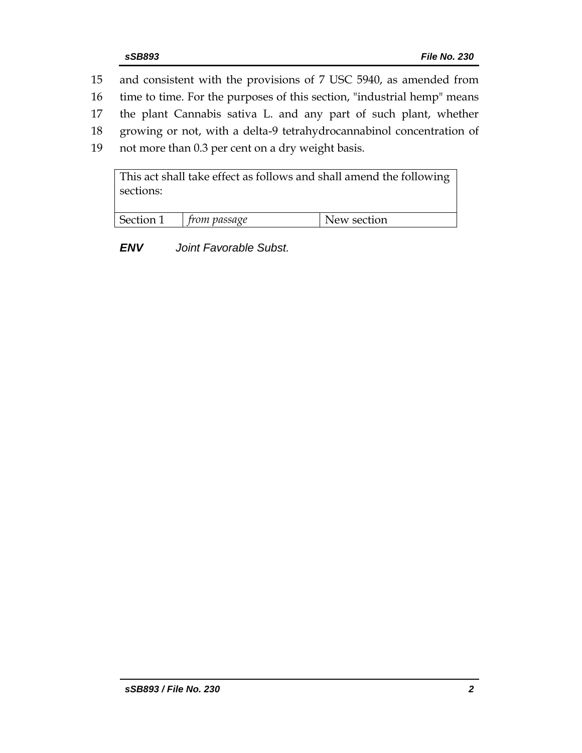- 15 and consistent with the provisions of 7 USC 5940, as amended from
- 16 time to time. For the purposes of this section, "industrial hemp" means
- 17 the plant Cannabis sativa L. and any part of such plant, whether
- 18 growing or not, with a delta-9 tetrahydrocannabinol concentration of
- 19 not more than 0.3 per cent on a dry weight basis.

| sections: |              | This act shall take effect as follows and shall amend the following |
|-----------|--------------|---------------------------------------------------------------------|
| Section 1 | from passage | New section                                                         |

*ENV Joint Favorable Subst.*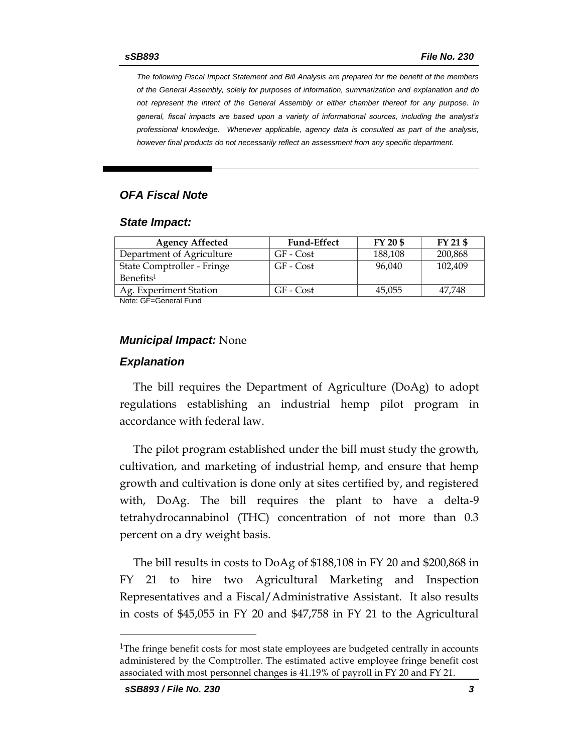*The following Fiscal Impact Statement and Bill Analysis are prepared for the benefit of the members of the General Assembly, solely for purposes of information, summarization and explanation and do not represent the intent of the General Assembly or either chamber thereof for any purpose. In general, fiscal impacts are based upon a variety of informational sources, including the analyst's professional knowledge. Whenever applicable, agency data is consulted as part of the analysis, however final products do not necessarily reflect an assessment from any specific department.*

#### *OFA Fiscal Note*

#### *State Impact:*

| <b>Agency Affected</b>     | <b>Fund-Effect</b> | FY 20 \$ | FY 21 \$ |
|----------------------------|--------------------|----------|----------|
| Department of Agriculture  | GF - Cost          | 188,108  | 200,868  |
| State Comptroller - Fringe | GF - Cost          | 96.040   | 102.409  |
| Benefits <sup>1</sup>      |                    |          |          |
| Ag. Experiment Station     | GF - Cost          | 45,055   | 47.748   |

Note: GF=General Fund

#### *Municipal Impact:* None

#### *Explanation*

The bill requires the Department of Agriculture (DoAg) to adopt regulations establishing an industrial hemp pilot program in accordance with federal law.

The pilot program established under the bill must study the growth, cultivation, and marketing of industrial hemp, and ensure that hemp growth and cultivation is done only at sites certified by, and registered with, DoAg. The bill requires the plant to have a delta-9 tetrahydrocannabinol (THC) concentration of not more than 0.3 percent on a dry weight basis.

The bill results in costs to DoAg of \$188,108 in FY 20 and \$200,868 in FY 21 to hire two Agricultural Marketing and Inspection Representatives and a Fiscal/Administrative Assistant. It also results in costs of \$45,055 in FY 20 and \$47,758 in FY 21 to the Agricultural

 $\overline{a}$ 

<sup>&</sup>lt;sup>1</sup>The fringe benefit costs for most state employees are budgeted centrally in accounts administered by the Comptroller. The estimated active employee fringe benefit cost associated with most personnel changes is 41.19% of payroll in FY 20 and FY 21.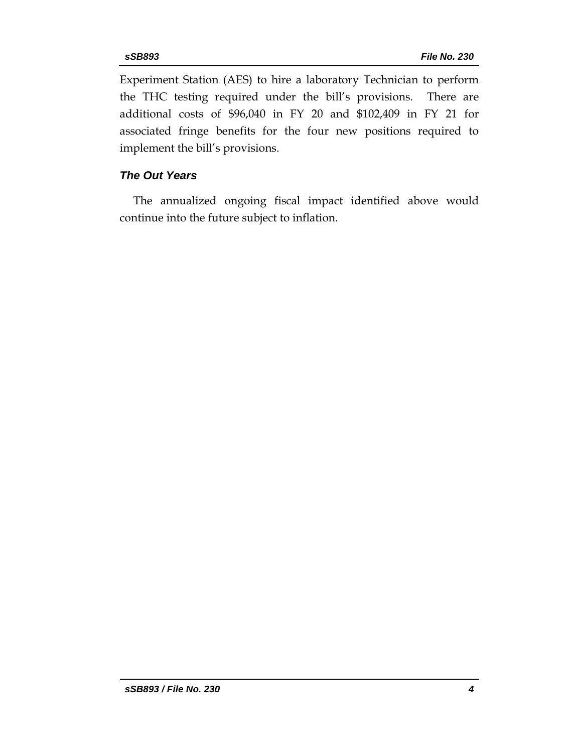Experiment Station (AES) to hire a laboratory Technician to perform the THC testing required under the bill's provisions. There are additional costs of \$96,040 in FY 20 and \$102,409 in FY 21 for associated fringe benefits for the four new positions required to implement the bill's provisions.

## *The Out Years*

The annualized ongoing fiscal impact identified above would continue into the future subject to inflation.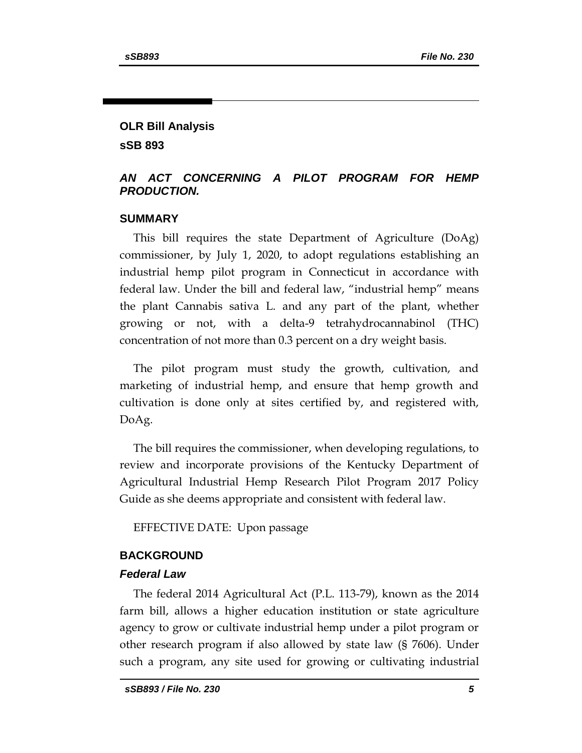# **OLR Bill Analysis sSB 893**

## *AN ACT CONCERNING A PILOT PROGRAM FOR HEMP PRODUCTION.*

### **SUMMARY**

This bill requires the state Department of Agriculture (DoAg) commissioner, by July 1, 2020, to adopt regulations establishing an industrial hemp pilot program in Connecticut in accordance with federal law. Under the bill and federal law, "industrial hemp" means the plant Cannabis sativa L. and any part of the plant, whether growing or not, with a delta-9 tetrahydrocannabinol (THC) concentration of not more than 0.3 percent on a dry weight basis.

The pilot program must study the growth, cultivation, and marketing of industrial hemp, and ensure that hemp growth and cultivation is done only at sites certified by, and registered with, DoAg.

The bill requires the commissioner, when developing regulations, to review and incorporate provisions of the Kentucky Department of Agricultural Industrial Hemp Research Pilot Program 2017 Policy Guide as she deems appropriate and consistent with federal law.

EFFECTIVE DATE: Upon passage

### **BACKGROUND**

#### *Federal Law*

The federal 2014 Agricultural Act (P.L. 113-79), known as the 2014 farm bill, allows a higher education institution or state agriculture agency to grow or cultivate industrial hemp under a pilot program or other research program if also allowed by state law (§ 7606). Under such a program, any site used for growing or cultivating industrial